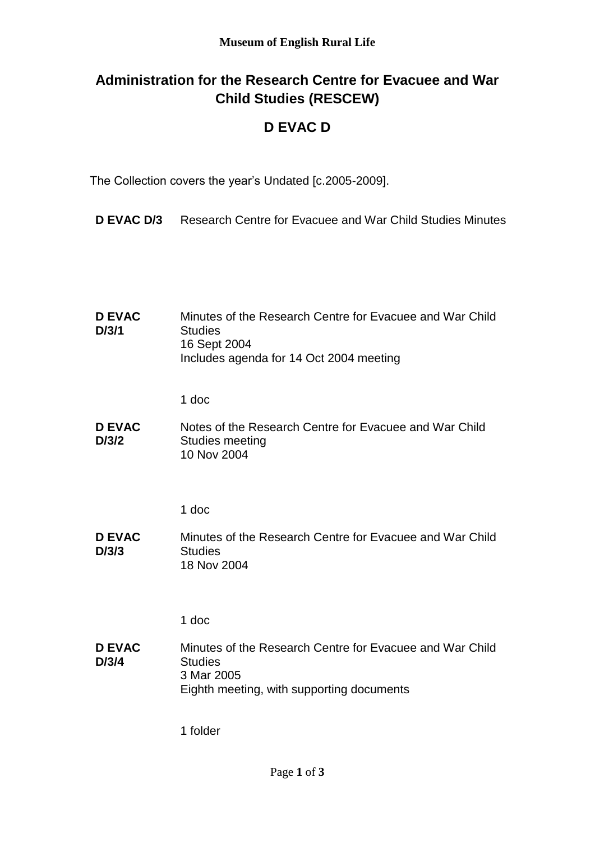# **Administration for the Research Centre for Evacuee and War Child Studies (RESCEW)**

## **D EVAC D**

The Collection covers the year's Undated [c.2005-2009].

**D EVAC D/3** Research Centre for Evacuee and War Child Studies Minutes

| <b>D EVAC</b><br>D/3/1 | Minutes of the Research Centre for Evacuee and War Child<br><b>Studies</b><br>16 Sept 2004<br>Includes agenda for 14 Oct 2004 meeting |
|------------------------|---------------------------------------------------------------------------------------------------------------------------------------|
|                        | 1 doc                                                                                                                                 |
| <b>D EVAC</b><br>D/3/2 | Notes of the Research Centre for Evacuee and War Child<br>Studies meeting<br>10 Nov 2004                                              |
|                        |                                                                                                                                       |
|                        | 1 doc                                                                                                                                 |
| <b>D EVAC</b><br>D/3/3 | Minutes of the Research Centre for Evacuee and War Child<br><b>Studies</b><br>18 Nov 2004                                             |
|                        | 1 doc                                                                                                                                 |
| <b>D EVAC</b><br>D/3/4 | Minutes of the Research Centre for Evacuee and War Child<br><b>Studies</b><br>3 Mar 2005<br>Eighth meeting, with supporting documents |

1 folder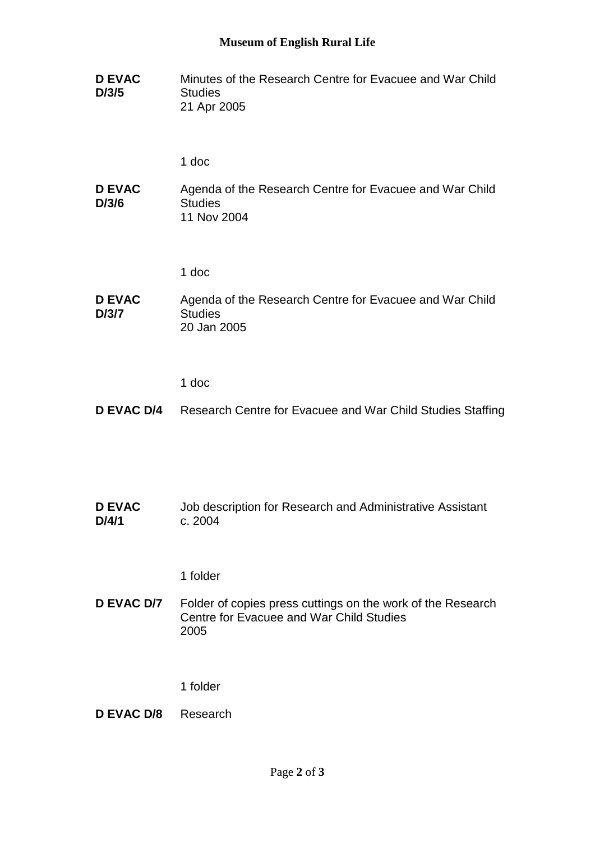#### **Museum of English Rural Life**

**D EVAC D/3/5** Minutes of the Research Centre for Evacuee and War Child **Studies** 21 Apr 2005

1 doc

**D EVAC D/3/6** Agenda of the Research Centre for Evacuee and War Child **Studies** 11 Nov 2004

1 doc

#### **D EVAC D/3/7** Agenda of the Research Centre for Evacuee and War Child **Studies** 20 Jan 2005

1 doc

### **D EVAC D/4** Research Centre for Evacuee and War Child Studies Staffing

**D EVAC D/4/1** Job description for Research and Administrative Assistant c. 2004

1 folder

**D EVAC D/7** Folder of copies press cuttings on the work of the Research Centre for Evacuee and War Child Studies 2005

1 folder

**D EVAC D/8** Research